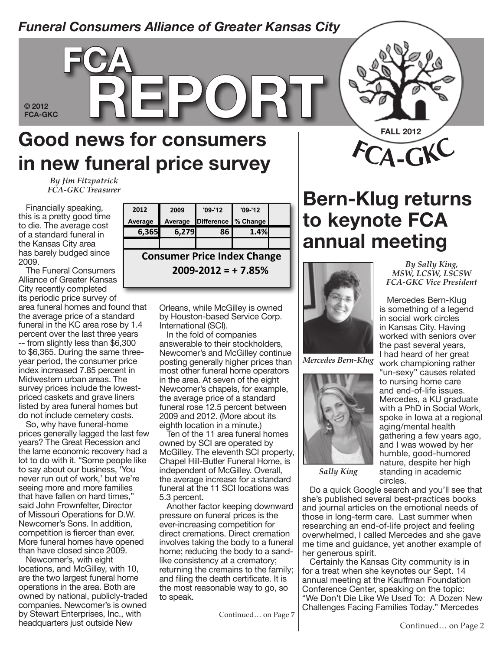#### *Funeral Consumers Alliance of Greater Kansas City* **71 12/1/2011 2,680 3,225** 2,095 495 260 360 665 250 275 995 1,100 **6,495** 5,655 840 **14.85% 71**

#### **© 2012 79 11/1/2008 1,695 2,990** 2,700 550 175 275 350 300 235 585 630 **5,800** \*\* - **- 79**

**72-74 10/1/2009 2,105 3,000** 1,995 895 350 500 500 375 not listed 895 995 **\*** \* - **- 72-74 75 Porter FH & Crematory (Local) 1/1/2011 2,197 3,092** 2,896 745 295 100 330 445 150 395 698 **6,054** 5,946 108 **1.82% 75 76 1/1/2012 2,250 2,900** 1,895 700 300 250 500 300 300 850 950 **6,045** 5,815 230 **3.96% 76 77 6/1/2011 625 N/A** 1,600 795 175 400 400 550 550 700 695 **5,865** \*\* - **- 77 78 12/1/2011 2,300 2,900** 1,500 600 300 250 550 300 300 600 750 **5,150** \*\* - **- 78**

### **Good news for consumers in new funeral price survey FCA-GKC REPORT 80 1,495 1,495 1,495 1,495 1,495 1,495 1,495 1,495 1,495 1,495 1,495 1,495 1,495 1,496 1,496 1,496 1,496 1,496 1,496 1,496 1,496 1,496 1,496 1,496 1,496 1,496 1,496 1,496 1,496 1,496 1,496 1,496 1,496 1,496 1,496 1,496 1, 81 Signature Funerals (Local) 1/1/2012 1,295 2,735** 2,655 700 400 550 550 400 350 595 700 **6,900** \*\* **81**

**86 Thatcher's Funeral Home (Local) 2/1/2011 995 2,076** 1,495 850 175 200 485 380 395 896 565 **5,441** 5,413 28 **0.52% 86 89 JUL LUE PRETTER**<br>**ECA\_GKC** Trogsuror *By Jim Fitzpatrick FCA-GKC Treasurer*

**fca**

**2009 - 2012 % Change -12.1% 4.9% 1.0% 3.4% 9.5% 5% 0.8% 6.6% 2.7% -2.9% 3.8%**  $\overline{\phantom{a}}$   $\overline{\phantom{a}}$   $\overline{\phantom{a}}$   $\overline{\phantom{a}}$   $\overline{\phantom{a}}$   $\overline{\phantom{a}}$   $\overline{\phantom{a}}$   $\overline{\phantom{a}}$   $\overline{\phantom{a}}$   $\overline{\phantom{a}}$   $\overline{\phantom{a}}$   $\overline{\phantom{a}}$   $\overline{\phantom{a}}$   $\overline{\phantom{a}}$   $\overline{\phantom{a}}$   $\overline{\phantom{a}}$   $\overline{\phantom{a}}$   $\overline{\phantom{a}}$   $\overline{\phant$ area funeral homes and found that Orleans, while McGilley is owned the average price of a standard -- from slightly less than \$6,300 to \$6,365. During the same three-**Column Barrier cremation in an alternation in an alternative container (such as card** or fiberal por a body. It d<br>It does not involve to dispose of a body. It does not involve to do service, cases or centery container con **COLUMN COLUMN CASKET** priced caskets and grave liners The Funeral Consumers Alliance of Greater Kansas City recently completed its periodic price survey of funeral in the KC area rose by 1.4 percent over the last three years year period, the consumer price index increased 7.85 percent in Midwestern urban areas. The survey prices include the lowestlisted by area funeral homes but do not include cemetery costs.

So, why have funeral-home prices generally lagged the last few years? The Great Recession and the lame economic recovery had a lot to do with it. "Some people like to say about our business, 'You never run out of work,' but we're seeing more and more families that have fallen on hard times," said John Frownfelter, Director of Missouri Operations for D.W. Newcomer's Sons. In addition, competition is fiercer than ever. More funeral homes have opened than have closed since 2009.

Newcomer's, with eight locations, and McGilley, with 10, are the two largest funeral home operations in the area. Both are owned by national, publicly-traded companies. Newcomer's is owned by Stewart Enterprises, Inc., with headquarters just outside New

| Financially speaking,                                  | 2012    | 2009                               | $'09 - 12$                    | $'09 - 12$  |  |
|--------------------------------------------------------|---------|------------------------------------|-------------------------------|-------------|--|
| this is a pretty good time<br>to die. The average cost | Average |                                    | Average Difference   % Change |             |  |
| of a standard funeral in                               | 6,365   | 6,279                              | 86                            | <b>1.4%</b> |  |
| the Kansas City area                                   |         |                                    |                               |             |  |
| has barely budged since<br>2009.                       |         | <b>Consumer Price Index Change</b> |                               |             |  |
| The Funeral Consumers                                  |         | $2009 - 2012 = +7.85%$             |                               |             |  |
| Alliange of Creater Kansas                             |         |                                    |                               |             |  |

Orleans, while McGilley is owned by Houston-based Service Corp. International (SCI).

In the fold of companies answerable to their stockholders, Newcomer's and McGilley continue posting generally higher prices than most other funeral home operators in the area. At seven of the eight Newcomer's chapels, for example, the average price of a standard funeral rose 12.5 percent between 2009 and 2012. (More about its eighth location in a minute.)

Ten of the 11 area funeral homes owned by SCI are operated by McGilley. The eleventh SCI property, Chapel Hill-Butler Funeral Home, is independent of McGilley. Overall, the average increase for a standard funeral at the 11 SCI locations was 5.3 percent.

Another factor keeping downward pressure on funeral prices is the ever-increasing competition for direct cremations. Direct cremation involves taking the body to a funeral home; reducing the body to a sandlike consistency at a crematory; returning the cremains to the family; and filing the death certificate. It is the most reasonable way to go, so to speak.

Continued… on Page 7



## **Bern-Klug returns to keynote FCA annual meeting**



*Mercedes Bern-Klug*



*Sally King*

Do a quick Google search and you'll see that she's published several best-practices books and journal articles on the emotional needs of those in long-term care. Last summer when researching an end-of-life project and feeling overwhelmed, I called Mercedes and she gave me time and guidance, yet another example of her generous spirit.

Certainly the Kansas City community is in for a treat when she keynotes our Sept. 14 annual meeting at the Kauffman Foundation Conference Center, speaking on the topic: "We Don't Die Like We Used To: A Dozen New Challenges Facing Families Today." Mercedes

*By Sally King, MSW, LCSW, LSCSW FCA-GKC Vice President*

Mercedes Bern-Klug is something of a legend in social work circles in Kansas City. Having worked with seniors over the past several years, I had heard of her great work championing rather

"un-sexy" causes related to nursing home care and end-of-life issues. Mercedes, a KU graduate with a PhD in Social Work, spoke in Iowa at a regional aging/mental health gathering a few years ago, and I was wowed by her humble, good-humored nature, despite her high standing in academic circles.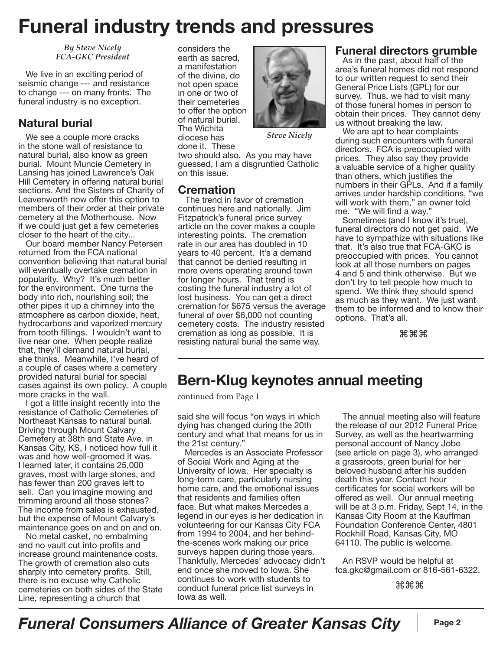### **Funeral industry trends and pressures**

*By Steve Nicely FCA-GKC President*

We live in an exciting period of seismic change --- and resistance to change --- on many fronts. The funeral industry is no exception.

#### **Natural burial**

We see a couple more cracks in the stone wall of resistance to natural burial, also know as green burial. Mount Muncie Cemetery in Lansing has joined Lawrence's Oak Hill Cemetery in offering natural burial sections. And the Sisters of Charity of Leavenworth now offer this option to members of their order at their private cemetery at the Motherhouse. Now if we could just get a few cemeteries closer to the heart of the city...

Our board member Nancy Petersen returned from the FCA national convention believing that natural burial will eventually overtake cremation in popularity. Why? It's much better for the environment. One turns the body into rich, nourishing soil; the other pipes it up a chimney into the atmosphere as carbon dioxide, heat, hydrocarbons and vaporized mercury from tooth fillings. I wouldn't want to live near one. When people realize that, they'll demand natural burial, she thinks. Meanwhile, I've heard of a couple of cases where a cemetery provided natural burial for special cases against its own policy. A couple more cracks in the wall.

I got a little insight recently into the resistance of Catholic Cemeteries of Northeast Kansas to natural burial. Driving through Mount Calvary Cemetery at 38th and State Ave. in Kansas City, KS, I noticed how full it was and how well-groomed it was. I learned later, it contains 25,000 graves, most with large stones, and has fewer than 200 graves left to sell. Can you imagine mowing and trimming around all those stones? The income from sales is exhausted, but the expense of Mount Calvary's maintenance goes on and on and on.

No metal casket, no embalming and no vault cut into profits and increase ground maintenance costs. The growth of cremation also cuts sharply into cemetery profits. Still, there is no excuse why Catholic cemeteries on both sides of the State Line, representing a church that

considers the earth as sacred, a manifestation of the divine, do not open space in one or two of their cemeteries to offer the option of natural burial. The Wichita diocese has done it. These



*Steve Nicely*

two should also. As you may have guessed, I am a disgruntled Catholic on this issue.

#### **Cremation**

The trend in favor of cremation continues here and nationally. Jim Fitzpatrick's funeral price survey article on the cover makes a couple interesting points. The cremation rate in our area has doubled in 10 years to 40 percent. It's a demand that cannot be denied resulting in more ovens operating around town for longer hours. That trend is costing the funeral industry a lot of lost business. You can get a direct cremation for \$675 versus the average funeral of over \$6,000 not counting cemetery costs. The industry resisted cremation as long as possible. It is resisting natural burial the same way.

#### **Funeral directors grumble**

As in the past, about half of the area's funeral homes did not respond to our written request to send their General Price Lists (GPL) for our survey. Thus, we had to visit many of those funeral homes in person to obtain their prices. They cannot deny us without breaking the law.

We are apt to hear complaints during such encounters with funeral directors. FCA is preoccupied with prices. They also say they provide a valuable service of a higher quality than others, which justifies the numbers in their GPLs. And if a family arrives under hardship conditions, "we will work with them," an owner told me. "We will find a way."

Sometimes (and I know it's true), funeral directors do not get paid. We have to sympathize with situations like that. It's also true that FCA-GKC is preoccupied with prices. You cannot look at all those numbers on pages 4 and 5 and think otherwise. But we don't try to tell people how much to spend. We think they should spend as much as they want. We just want them to be informed and to know their options. That's all.

⌘⌘⌘

#### **Bern-Klug keynotes annual meeting**

continued from Page 1

said she will focus "on ways in which dying has changed during the 20th century and what that means for us in the 21st century."

Mercedes is an Associate Professor of Social Work and Aging at the University of Iowa. Her specialty is long-term care, particularly nursing home care, and the emotional issues that residents and families often face. But what makes Mercedes a legend in our eyes is her dedication in volunteering for our Kansas City FCA from 1994 to 2004, and her behindthe-scenes work making our price surveys happen during those years. Thankfully, Mercedes' advocacy didn't end once she moved to Iowa. She continues to work with students to conduct funeral price list surveys in Iowa as well.

The annual meeting also will feature the release of our 2012 Funeral Price Survey, as well as the heartwarming personal account of Nancy Jobe (see article on page 3), who arranged a grassroots, green burial for her beloved husband after his sudden death this year. Contact hour certificates for social workers will be offered as well. Our annual meeting will be at 3 p.m. Friday, Sept 14, in the Kansas City Room at the Kauffman Foundation Conference Center, 4801 Rockhill Road, Kansas City, MO 64110. The public is welcome.

An RSVP would be helpful at fca.gkc@gmail.com or 816-561-6322.

⌘⌘⌘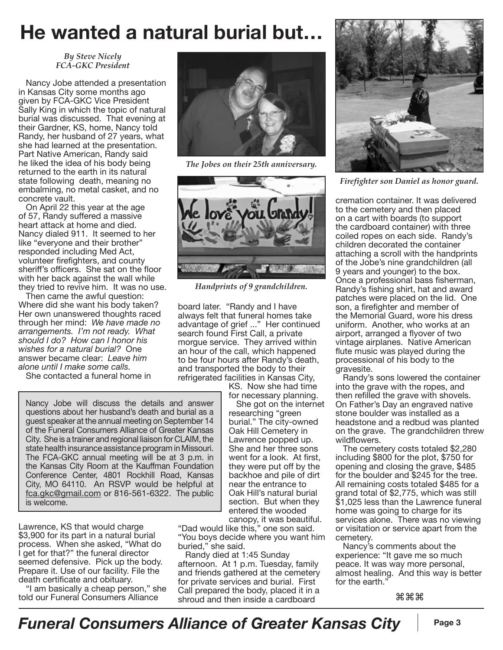### **He wanted a natural burial but…**

*By Steve Nicely FCA-GKC President*

Nancy Jobe attended a presentation in Kansas City some months ago given by FCA-GKC Vice President Sally King in which the topic of natural burial was discussed. That evening at their Gardner, KS, home, Nancy told Randy, her husband of 27 years, what she had learned at the presentation. Part Native American, Randy said he liked the idea of his body being returned to the earth in its natural state following death, meaning no embalming, no metal casket, and no concrete vault.

On April 22 this year at the age of 57, Randy suffered a massive heart attack at home and died. Nancy dialed 911. It seemed to her like "everyone and their brother" responded including Med Act, volunteer firefighters, and county sheriff's officers. She sat on the floor with her back against the wall while they tried to revive him. It was no use.

Then came the awful question: Where did she want his body taken? Her own unanswered thoughts raced through her mind: *We have made no arrangements. I'm not ready. What should I do? How can I honor his wishes for a natural burial?* One answer became clear: *Leave him alone until I make some calls.*

She contacted a funeral home in

Nancy Jobe will discuss the details and answer questions about her husband's death and burial as a guest speaker at the annual meeting on September 14 of the Funeral Consumers Alliance of Greater Kansas City. She is a trainer and regional liaison for CLAIM, the state health insurance assistance program in Missouri. The FCA-GKC annual meeting will be at 3 p.m. in the Kansas City Room at the Kauffman Foundation Conference Center, 4801 Rockhill Road, Kansas City, MO 64110. An RSVP would be helpful at fca.gkc@gmail.com or 816-561-6322. The public is welcome.

Lawrence, KS that would charge \$3,900 for its part in a natural burial process. When she asked, "What do I get for that?" the funeral director seemed defensive. Pick up the body. Prepare it. Use of our facility. File the death certificate and obituary.

"I am basically a cheap person," she told our Funeral Consumers Alliance



*The Jobes on their 25th anniversary.*



*Handprints of 9 grandchildren.*

board later. "Randy and I have always felt that funeral homes take advantage of grief ..." Her continued search found First Call, a private morgue service. They arrived within an hour of the call, which happened to be four hours after Randy's death, and transported the body to their refrigerated facilities in Kansas City,

KS. Now she had time for necessary planning.

She got on the internet researching "green burial." The city-owned Oak Hill Cemetery in Lawrence popped up. She and her three sons went for a look. At first, they were put off by the backhoe and pile of dirt near the entrance to Oak Hill's natural burial section. But when they entered the wooded canopy, it was beautiful.

"Dad would like this," one son said. "You boys decide where you want him buried," she said.

Randy died at 1:45 Sunday afternoon. At 1 p.m. Tuesday, family and friends gathered at the cemetery for private services and burial. First Call prepared the body, placed it in a shroud and then inside a cardboard



*Firefighter son Daniel as honor guard.*

cremation container. It was delivered to the cemetery and then placed on a cart with boards (to support the cardboard container) with three coiled ropes on each side. Randy's children decorated the container attaching a scroll with the handprints of the Jobe's nine grandchildren (all 9 years and younger) to the box. Once a professional bass fisherman, Randy's fishing shirt, hat and award patches were placed on the lid. One son, a firefighter and member of the Memorial Guard, wore his dress uniform. Another, who works at an airport, arranged a flyover of two vintage airplanes. Native American flute music was played during the processional of his body to the gravesite.

Randy's sons lowered the container into the grave with the ropes, and then refilled the grave with shovels. On Father's Day an engraved native stone boulder was installed as a headstone and a redbud was planted on the grave. The grandchildren threw wildflowers.

The cemetery costs totaled \$2,280 including \$800 for the plot, \$750 for opening and closing the grave, \$485 for the boulder and \$245 for the tree. All remaining costs totaled \$485 for a grand total of \$2,775, which was still \$1,025 less than the Lawrence funeral home was going to charge for its services alone. There was no viewing or visitation or service apart from the cemetery.

Nancy's comments about the experience: "It gave me so much peace. It was way more personal, almost healing. And this way is better for the earth."

⌘⌘⌘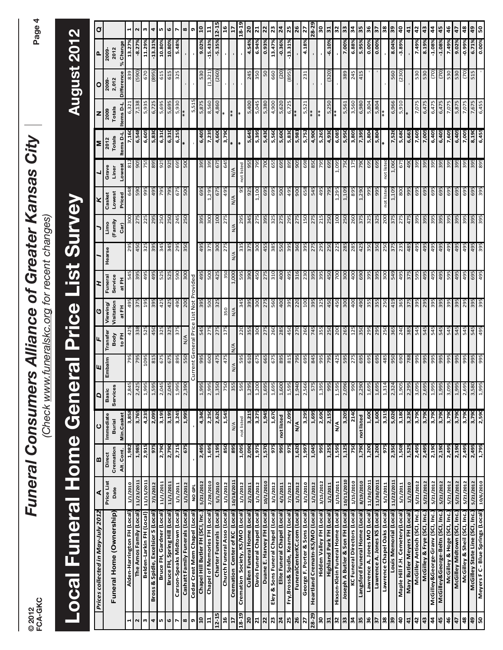Page 4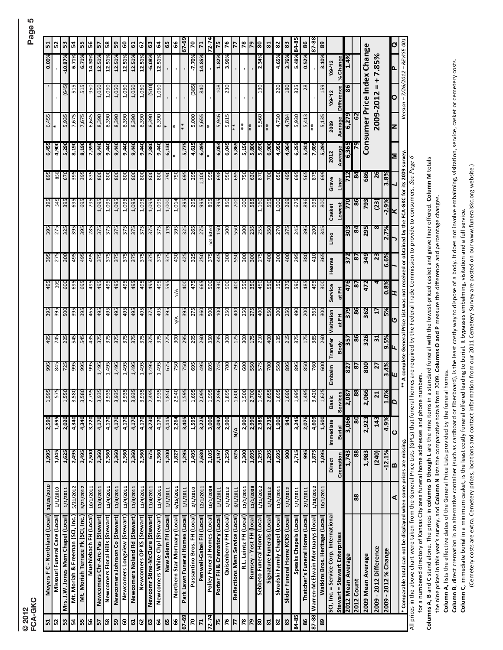|  | © 2012<br>FCA-GKC |  |
|--|-------------------|--|

| 51                             | 52                            | 53                                 | ង                               | 55                                | 56                    | $\frac{5}{2}$                   | 58                               | S9                             | 9                            | 5                             | 29                        | 63                              | 5                              | 65                   | 99                             | 67-69                           | $\overline{z}$              | $\mathbf{r}$              | $72 - 74$                    | 75                            | 76                     | 77                              | 78                     | $\overline{5}$           | 80                           | នា                         | 82                             | 83                               | 84-85                  | 86                              | 87-88                                     | 89                                    |                                         |                               |                    |                |                             |                          |                      | Ø   |
|--------------------------------|-------------------------------|------------------------------------|---------------------------------|-----------------------------------|-----------------------|---------------------------------|----------------------------------|--------------------------------|------------------------------|-------------------------------|---------------------------|---------------------------------|--------------------------------|----------------------|--------------------------------|---------------------------------|-----------------------------|---------------------------|------------------------------|-------------------------------|------------------------|---------------------------------|------------------------|--------------------------|------------------------------|----------------------------|--------------------------------|----------------------------------|------------------------|---------------------------------|-------------------------------------------|---------------------------------------|-----------------------------------------|-------------------------------|--------------------|----------------|-----------------------------|--------------------------|----------------------|-----|
| 0.00%                          |                               | $-10.87%$                          | 6.71%                           | 6.71%                             | 14.30%                | 12.51%                          | 12.51%                           | 12.51%                         | 12.51%                       | 12.51%                        | 12.51%                    | $-6.08%$                        | 12.51%                         |                      |                                |                                 | -7.70%                      | 14.85%                    |                              | 1.82%                         | 3.96%                  |                                 |                        |                          | 2.34%                        |                            | 4.65%                          | 3.76%                            | 5.48%                  | 0.52%                           |                                           | 3.10%                                 | $09 - 12$                               | % Change                      | 1.4%               |                | Consumer Price Index Change | $+7.85%$                 |                      | Δ.  |
|                                |                               | (645)                              | 515                             | 515                               | 950                   | 1,050                           | 1,050                            | 1,050                          | 1,050                        | 1,050                         | 1,050                     | (510)                           | 1,050                          |                      |                                |                                 | (385)                       | 840                       |                              | 108                           | 230                    |                                 |                        |                          | 130                          |                            | 220                            | 180                              | 325                    | 28                              |                                           | 159                                   | $09 - 12$                               | Difference                    | 86                 |                |                             | $2009 - 2012 =$          |                      | О   |
| 6,455                          | ∗                             | 5,935                              | 7,675                           | 7,675                             | 6,645                 | 8,390                           | 8,390                            | 8,390                          | 8,390                        | 8,390                         | 8,390                     | 8,390                           | 8,390                          | $\ast$               |                                |                                 | 5,000                       | 5,655                     | ∗                            | 5,946                         | 5,815                  | $*$                             | $* *$                  | $* *$                    | 5,560                        | $*$                        | 4,730                          | 4,784                            | 5,930                  | 5,413                           | $*$                                       | 5,135                                 | 2009                                    | Average                       | 6,279              | 3              |                             |                          |                      | z   |
| 6,45                           | 4,900                         | 5,29                               | 8,190                           | 8,190                             | 7,595                 | 9,440                           | 9,440                            | 9,440                          | 9,440                        | 9,44                          | 9,440                     | 7,880                           | 9,440                          | 6,130                |                                | 5,77                            | 4,615                       | 6,495                     |                              | 6,054                         | 6,045                  | 5,865                           | 5,15                   | 5,800                    | 5,690                        | 6,900                      | 4,950                          | 4,964                            | 6,255                  | 5,441                           | 7,605                                     | 5,294                                 | 2012                                    | Average                       | 6,365              |                |                             |                          |                      | Σ   |
| 895                            | 850                           | 670                                | 395                             | 395                               | 835                   | 80Q                             | 800                              | 800                            | 80Q                          | 800                           | 800                       | 800                             | 800                            | D6Z                  | 750                            | 695                             | 295                         | 1,100                     | 995                          | 698                           | 950                    | 695                             | 750                    | 630                      | 870                          | 700                        | 650                            | 495                              | 695                    | 565                             | 875                                       | 699                                   | Grave                                   | Line                          | 712                | $\mathbf{a}$   | 686                         | 26                       | 3.8%                 |     |
| 395                            | 545                           | 395                                | 695                             | 695                               | 795                   | 1,095                           | 1,095                            | 1,095                          | 1,095                        | 1,095                         | 1,095                     | 1,095                           | 1,095                          | 1,000                | 1,014                          | 895                             | 295                         | 995                       | 895                          | 395                           | 850                    | 700                             | 600                    | 585                      | 1,160                        | 595                        | 1,000                          | 269                              | 675                    | 896                             | 695                                       | 800                                   | Casket                                  | Lowest                        | 770                | 86             | 793                         | (23)                     | $-2.9%$              | x   |
| 395                            | 275                           | 325                                | 395                             | 395                               | 285                   | 375                             | 375                              | 375                            | 375                          | 375                           | 375                       | 375                             | 375                            | 175                  | 395                            | 325                             | 265                         | 275                       | not listed                   | 150                           | 300                    | 550                             | 300                    | 235                      | 255                          | 350                        | 270                            | 375                              | 245                    | 395                             | 200                                       | 345                                   | Limo                                    |                               | 303                | $\mathbf{g}$   | 295                         | ∞                        | 2.7%                 |     |
|                                | 275                           | 300                                | 495                             | 495                               | 495                   | 375                             | 375                              | 375                            | 375                          | 375                           | 375                       | 375                             | 375                            | 375                  | 430                            | 425                             | 325                         | 250                       | 375                          | 445                           | 300                    | 550                             | 300                    | 300                      | 275                          | 400                        | 300                            | 400                              | 295                    | 380                             | 410                                       | 365                                   | Hearse                                  |                               | 372                | $\overline{8}$ | 349                         | 23                       | 6.6%                 |     |
| 495                            | 395                           | 600                                | 695                             | 695                               | 495                   | 495                             | 495                              | 495                            | 495                          | 495                           | 495                       | 495                             | 495                            | 595                  | $\frac{4}{2}$                  | 400                             | 475                         | 665                       | 500                          | 330                           | 500                    | 400                             | 550                    | 350                      | 450                          | 550                        | 150                            | 375                              | 590                    | 485                             | 495                                       | 300                                   | Service                                 | at FH                         | 476                | 2              | 472                         |                          | 0.8%                 | ェ   |
| 395                            | 395                           | 500                                | 395                             | 395                               | 465                   | 495                             | 495                              | 495                            | 495                          | 495                           | 495                       | 375                             | 495                            | 395                  | $\frac{4}{2}$                  | 395                             | 275                         | 360                       | 500                          | 100                           | 250                    | 400                             | 250                    | 275                      | 400                          | 550                        | 200                            | 250                              | $490^{\circ}$          | 200                             | 365                                       | 300                                   | Visitation                              | 준<br>ಕ                        | 379                | 86             | 362                         | 2                        | 5%                   | O   |
| 495                            | 745                           | 225                                | 545                             | 545                               | 435                   | 375                             | 375                              | 375                            | 375                          | 375                           | 375                       | 375                             | 375                            | 275                  | 300                            | 295                             | 295                         | 260                       | 350                          | 295                           | 300                    | 175                             | 300                    | 175                      | 210                          | 400                        | 135                            | 215                              | 375                    | 175                             | 385                                       | 260                                   | Transfer                                | Body                          | 357                | 86             | 326                         | 31                       | 9.5%                 | u   |
| 995                            | 845                           | 725                                | 995                             | 995                               | 995                   | 1,495                           | 1,495                            | 1,495                          | 1,495                        | 1,495                         | 1,495                     | 1,495                           | 1,495                          | 675                  | 750                            | 750                             | 695                         | 495                       | 895                          | 745                           | 700                    | 795                             | 600                    | 550                      | 575                          | 700                        | 550                            | 895                              | 895                    | 850                             | 760                                       | 600                                   | Embalm                                  |                               | 827                | 2              | 800                         | 27                       | 3.4%                 | ш   |
| 995                            | $\frac{5}{5}$                 | 550                                | 580<br>E                        | 580<br>3                          | 795<br>$\sim$         | 935<br>3                        | 935<br>S                         | 935<br>m                       | 935<br>S                     | 935<br>$\omega$               | 935<br>m                  | 495<br>Z                        | 935<br>S.                      | ,850<br>$\mathbf{r}$ | 540<br>$\sim$                  | 595<br>1                        | 695                         | ,095<br>$\mathbf{\Omega}$ | 995<br>H                     | .896<br>$\mathbf{z}$          | 895                    | 600<br>$\overline{ }$           | 500                    | 700                      | ,495                         | 655<br>$\mathbf{\Omega}$   | .695<br>1                      | 690                              | 995<br>H               | 495<br>1                        | 420<br>E                                  | 625                                   | $\mathbf{o}$<br>Basi                    | <b>Sec</b><br>Servic          | 087<br>$\tilde{a}$ | 88             | 990<br>$\tilde{a}$          | $\mathbf{z}$             | ఠ                    | ⊲∣⊿ |
| 2,590                          | 1,695                         | 2,020                              | 4,340                           | 4,340                             | 3,720                 | 4,170                           | 4,170                            | 4,170                          | 4,170                        | 4,170                         | 4,170                     | 3,730                           | 4,170                          | 4,115                | 2,264                          | 3,405                           | 1,595                       | 3,225                     | 3,000                        | 3,092                         | 2,900                  | ∕∡<br>≥                         | 2,900                  | 2,990                    | 2,385                        | 2,735                      | 1,900                          | 942                              | 3,245                  | 2,076                           | 4,609                                     | 1,500                                 | Immediate                               | <b>Burial</b>                 | 3,066              | 80             | 2,923                       | 143                      | 4.9%                 | ပ   |
| 1,995                          | 1,045                         | 1,625                              | 2,495                           | 2,495                             | 2,500                 | 2,360                           | 2,360                            | 2,360                          | 2,360                        | 2,360                         | 2,360                     | 675                             | 2,360                          | 1,200                | 1,827                          | 1,295                           | 1,495                       | 2,680                     | 2,105                        | 2,197                         | 2,250                  | 625                             | 2,300                  | 1,695                    | 1,295                        | 1,295                      | 1,695                          | 900                              | 2,715                  | 995                             | 1,875                                     | 1,095                                 | Direct                                  | Cremation                     | 1,743              | 88             | 1,983                       | (240)                    | $-12.1%$             | ∣∞  |
| 10/25/2010                     | 1/1/2010                      | 1/1/2011                           | 5/21/2012                       | 5/21/2012                         | 10/1/2011             | 11/4/2011                       | 11/4/2011                        | 11/4/2011                      | 11/4/2011                    | 11/4/2011                     | 11/4/2011                 | 11/4/2011                       | 11/4/2011                      | 1/1/2011             | 6/15/2011                      | 1/1/2011                        | 2/1/2010                    | 12/1/2011                 | 10/1/2009                    | 1/1/2011                      | 1/1/2012               | 6/1/2011                        | 12/1/2011              | 11/1/2008                | 1/11/2012                    | 1/1/2012                   | 11/1/2011                      | 1/1/2012                         | 1/1/2011               | 2/1/2011                        | 1/10/2012                                 | 10/1/2011                             |                                         |                               |                    | 88             |                             |                          |                      | ⋖   |
| Meyers F C - Northland (Local) | Missouri Funeral Care (Local) | Mrs. J.W. Jones Mem Chapel (Local) | Mt. Moriah & Freeman (SCI, Inc. | Mt. Moriah Terrace Pk (SCI, Inc.) | Muehlebach FH (Local) | Newcomers Chr-Arc-Pas (Stewart) | Newcomers Floral Hills (Stewart) | Newcomers Johnson Co (Stewart) | Newcomers Longview (Stewart) | Newcomers Noland Rd (Stewart) | Newcomers OP KS (Stewart) | Newcomr Stine-McClure (Stewart) | Newcomers White Chpl (Stewart) | New Salem FH (Local) | Northern Star Mortuary (Local) | Park Lawn Funeral Homes (Local) | Passantino Bros. FH (Local) | Penwell-Gabel FH (Local)  | Polley Funeral Homes (Local) | Porter FH & Crematory (Local) | Quisenberry FH (Local) | Reflections Mem Service (Local) | R.L. Leintz FH (Local) | Rumsey - Yost FH (local) | Sebbeto Funeral Home (Local) | Signature Funerals (Local) | Skradski Family Chapel (Local) | Slider Funeral Home KCKS (Local) | Speaks Chapels (Local) | Thatcher's Funeral Home (Local) | 87-88   Warren-McElwain Mortuarys (local) | <b>Watkins Bros. Heritage (Local)</b> | SCI, Inc. = Service Corp. International | Stewart = Stewart Enterprises | 2012 Mean Average  | 2012 Count     | 2009 Mean Average           | -2012 Difference<br>2009 | 2009 - 2012 % Change |     |
| 51                             | 52                            | 53                                 | Ľ                               | 55                                | 56                    | 57                              | 58                               | 59                             | 60                           | 61                            | 62                        | $\mathbf{G}$                    | $\mathbf{g}$                   | 65                   | 9                              | 67-69                           | 20                          | $\mathbf{r}$              | $72 - 74$                    | 75                            | 76                     | 77                              | 78                     | 79                       | 80                           | 81                         | 82                             | 83                               | 84-85                  | 86                              |                                           | 89                                    |                                         |                               |                    |                |                             |                          |                      |     |

All prices in the above chart were taken from the General Price Lists (GPLs) that funeral homes are required by the Federal Trade Commission to provide to consumers. See Page 6 All prices in the above chart were taken from the General Price Lists (GPLs) that funeral homes are required by the Federal Trade Commission to provide to consumers. *See Page 6*

Columns A, B and C stand alone. The prices in columns D though L are the nine items in a standard funeral with the lowest-priced casket and grave liner offered. Column M totals **Columns A, B** and **C** stand alone. The prices in **columns D though L** are the nine items in a standard funeral with the lowest-priced casket and grave liner offered. **Column M** totals for a numbered directory of Kansas City area funeral home addresses and phone numbers. for a numbered directory of Kansas City area funeral home addresses and phone numbers.

the nine prices in this year's survey, and Column N lists the comparative totals from 2009. Columns O and P measure the difference and percentage changes the nine prices in this year's survey, and **Column N** lists the comparative totals from 2009. **Columns O and P** measure the difference and percentage changes.

Column A, lists the effective dates of the General Price Lists provided by the funeral homes. **Column A,** lists the effective dates of the General Price Lists provided by the funeral homes.

Column B, direct cremation in an alternative container (such as cardboard or fiberboard), is the least costly way to dispose of a body. It does not involve embalming, visitation, service, casket or cemetery costs. **Column B**, direct cremative container (such as cardboard or fiberboard), is the least costly way to dispose of a body. It does not involve embalming, visitation, service, casket or cemetery costs. Column C, immediate burial in a minimum casket, is the least costly funeral offered leading to burial. It bypasses embalming, visitation and a full service. **Column C**, immediate burial in a minimum casket, is the least costly funeral offered leading to burial. It bypasses embalming, visitation and a full service.

(Cemetery costs are extra. Cemetery prices, locations and contact information from our 2011 Cemetery Survey are posted on our www.funeralskc.org website.) (Cemetery costs are extra. Cemetery prices, locations and contact information from our 2011 Cemetery Survey are posted on our www.funeralskc.org website.)

# Page 5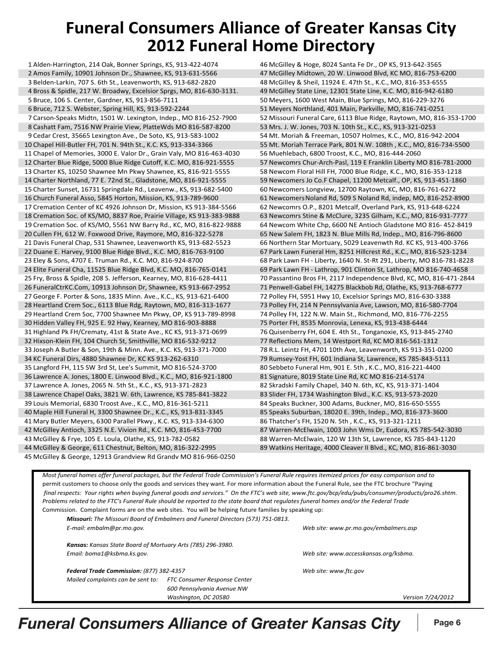### **Funeral Consumers Alliance of Greater Kansas City 2012 Funeral Home Directory**

1 Alden-Harrington, 214 Oak, Bonner Springs, KS, 913-422-4074 2 Amos Family, 10901 Johnson Dr., Shawnee, KS, 913-631-5566 47 McGilley Midtown, 20 W. Linwood Blvd, KC MO, 816-753-6200 3 Belden-Larkin, 707 S. 6th St., Leavenworth, KS, 913-682-2820 48 McGilley & Sheil, 11924 E. 47th St., K.C., MO, 816-353-6555 4 Bross & Spidle, 217 W. Broadwy, Excelsior Sprgs, MO, 816-630-3131. 49 McGilley State Line, 12301 State Line, K.C. MO, 816-942-6180 5 Bruce, 106 S. Center, Gardner, KS, 913-856-7111 6 [10] SO Meyers, 1600 West Main, Blue Springs, MO, 816-229-3276 6 Bruce, 712 S. Webster, Spring Hill, KS, 913-592-2244 51 Neyers Northland, 401 Main, Parkville, MO, 816-741-0251 8 Cashatt Fam, 7516 NW Prairie View, PlatteWds MO 816-587-8200 53 Mrs. J. W. Jones, 703 N. 10th St., K.C., KS, 913-321-0253 11 Chapel of Memories, 3000 E. Valor Dr., Grain Valy, MO 816-463-4030 56 Muehlebach, 6800 Troost, K.C., MO, 816-444-2060 12 Charter Blue Ridge, 5000 Blue Ridge Cutoff, K.C. MO, 816-921-5555 57 Newcomrs Chur-Arch-Pasl, 119 E Franklin Liberty MO 816-781-2000 13 Charter KS, 10250 Shawnee Mn Pkwy Shawnee, KS, 816-921-5555 58 Newcom Floral Hill FH, 7000 Blue Ridge, K.C., MO, 816-353-1218 14 Charter Northland, 77 E. 72nd St., Gladstone, MO, 816-921-5555 58 1890 100. F Chapel, 11200 Metcalf., OP, KS, 913-451-1860 15 Charter Sunset, 16731 Springdale Rd., Leavenw., KS, 913-682-5400 60 Newcomers Longview, 12700 Raytown, KC, MO, 816-761-6272 16 Church Funeral Asso, 5845 Horton, Mission, KS, 913-789-9600 61 Newcomers Noland Rd, 509 S Noland Rd, indep, MO, 816-252-8900 17 Cremation Center of KC 4926 Johnson Dr, Mission, KS 913-384-5566 6 62 Newcomrs O.P., 8201 Metcalf, Overland Park, KS, 913-648-6224 18 Cremation Soc. of KS/MO, 8837 Roe, Prairie Village, KS 913-383-9888 63 Newcomrs Stine & McClure, 3235 Gilham, K.C., MO, 816-931-7777 19 Cremation Soc. of KS/MO, 5561 NW Barry Rd., KC, MO, 816-822-9888 64 Newcom White Chp, 6600 NE Antioch Gladstone MO 816- 452-8419 20 Cullen FH, 612 W. Foxwood Drive, Raymore, MO, 816-322-5278 65 New Salem FH, 1823 N. Blue Mills Rd, Indep., MO, 816-796-8600 21 Davis Funeral Chap, 531 Shawnee, Leavenworth KS, 913-682-5523 66 Northern Star Mortuary, 5029 Leavenwth Rd. KC KS, 913-400-3766 23 Eley & Sons, 4707 E. Truman Rd., K.C. MO, 816-924-8700 68 Park Lawn FH - Liberty, 1640 N. St-Rt 291, Liberty, MO 816-781-8228 24 Elite Funeral Cha, 11525 Blue Ridge Blvd, K.C. MO, 816-765-0141 69 Park Lawn FH - Lathrop, 901 Clinton St, Lathrop, MO 816-740-4658 25 Fry, Bross & Spidle, 208 S. Jefferson, Kearney, MO, 816-628-4411 70 Passantino Bros FH, 2117 Independence Blvd, KC, MO, 816-471-2844 26 FuneralCtrKC.Com, 10913 Johnson Dr, Shawnee, KS 913-667-2952 71 Penwell-Gabel FH, 14275 Blackbob Rd, Olathe, KS, 913-768-6777 27 George F. Porter & Sons, 1835 Minn. Ave., K.C., KS, 913-621-6400 72 Polley FH, 5951 Hwy 10, Excelsior Springs MO, 816-630-3388 28 Heartland Crem Soc., 6113 Blue Rdg, Raytown, MO, 816-313-1677 73 Polley FH, 214 N Pennsylvania Ave, Lawson, MO, 816-580-7704 29 Heartland Crem Soc, 7700 Shawnee Mn Pkwy, OP, KS 913-789-8998 74 Polley FH, 122 N.W. Main St., Richmond, MO, 816-776-2255 30 Hidden Valley FH, 925 E. 92 Hwy, Kearney, MO 816-903-8888 75 Porter FH, 8535 Monrovia, Lenexa, KS, 913-438-6444 31 Highland Pk FH/Crematy, 41st & State Ave., KC KS, 913-371-0699 76 Quisenberry FH, 604 E. 4th St., Tonganoxie, KS, 913-845-2740 32 Hixson-Klein FH, 104 Church St, Smithville, MO 816-532-9212 77 Reflections Mem, 14 Westport Rd, KC MO 816-561-1312 33 Joseph A Butler & Son, 19th & Minn. Ave., K.C. KS, 913-371-7000 78 R.L. Leintz FH, 4701 10th Ave, Leavenworth, KS 913-351-0200<br>34 KC Funeral Dirs, 4880 Shawnee Dr, KC KS 913-262-6310 79 Rumsey-Yost FH, 601 I 34 KC Funeral Dirs, 4880 Shawnee Dr, KC KS 913-262-6310 79 Rumsey-Yost FH, 601 Indiana St, Lawrence, KS 785-843-5111 35 Langford FH, 115 SW 3rd St, Lee's Summit, MO 816-524-3700 80 Sebbeto Funeral Hm, 901 E. 5th , K.C., MO, 816-221-4400 36 Lawrence A. Jones, 1800 E. Linwood Blvd., K.C., MO, 816-921-1800 81 Signature, 8019 State Line Rd, KC MO 816-214-5174 37 Lawrence A. Jones, 2065 N. 5th St., K.C., KS, 913-371-2823 82 Skradski Family Chapel, 340 N. 6th, KC, KS, 913-371-1404 38 Lawrence Chapel Oaks, 3821 W. 6th, Lawrence, KS 785-841-3822 83 Slider FH, 1734 Washington Blvd., K.C. KS, 913-573-2020 39 Louis Memorial, 6830 Troost Ave., K.C., MO, 816-361-5211 84 Speaks Buckner, 300 Adams, Buckner, MO, 816-650-5555 41 Mary Butler Meyers, 6300 Parallel Pkwy., K.C. KS, 913-334-6300 86 Thatcher's FH, 1520 N. 5th , K.C., KS, 913-321-1211 44 McGilley & George, 611 Chestnut, Belton, MO, 816-322-2995 89 Watkins Heritage, 4000 Cleaver II Blvd., KC, MO, 816-861-3030 45 McGilley & George, 12913 Grandview Rd Grandv MO 816-966-0250 7 Carson-Speaks Midtn, 1501 W. Lexington, Indep., MO 816-252-7900 10 Chapel Hill-Butler FH, 701 N. 94th St., K.C. KS, 913-334-3366 22 Duane E. Harvey, 9100 Blue Ridge Blvd., K.C. MO, 816-763-9100 40 Maple Hill Funeral H, 3300 Shawnee Dr., K.C., KS, 913-831-3345 42 McGilley Antioch, 3325 N.E. Vivion Rd., K.C. MO, 816-453-7700 43 McGilley & Frye, 105 E. Loula, Olathe, KS, 913-782-0582

52 Missouri Funeral Care, 6113 Blue Ridge, Raytown, MO, 816-353-1700 9 Cedar Crest, 35665 Lexington Ave., De Soto, KS, 913-583-1002 54 Mt. Moriah & Freeman, 10507 Holmes, K.C., MO, 816-942-2004 55 Mt. Moriah Terrace Park, 801 N.W. 108th , K.C., MO, 816-734-5500 67 Park Lawn Funeral Hm, 8251 Hillcrest Rd., K.C., MO, 816-523-1234 85 Speaks Suburban, 18020 E. 39th, Indep., MO, 816-373-3600 87 Warren-McElwain, 1003 John Wms Dr, Eudora, KS 785-542-3030 88 Warren-McElwain, 120 W 13th St, Lawrence, KS 785-843-1120 46 McGilley & Hoge, 8024 Santa Fe Dr., OP KS, 913-642-3565

Most funeral homes offer funeral packages, but the Federal Trade Commission's Funeral Rule requires itemized prices for easy comparison and to permit customers to choose only the goods and services they want. For more information about the Funeral Rule, see the FTC brochure "Paying final respects: Your rights when buying funeral goods and services." On the FTC's web site, www.ftc.gov/bcp/edu/pubs/consumer/products/pro26.shtm. Problems related to the FTC's Funeral Rule should be reported to the state board that regulates funeral homes and/or the Federal Trade Commission. Complaint forms are on the web sites. You will be helping future families by speaking up:

**Missouri:** The Missouri Board of Embalmers and Funeral Directors (573) 751-0813. E-mail: embalm@pr.mo.gov.

*Email: boma1@ksbma.ks.gov. Web site: www.accesskansas.org/ksbma.* **Kansas:** Kansas State Board of Mortuary Arts (785) 296-3980.

*Mailed complaints can be sent to: FTC Consumer Response Center 600 Pennsylvania Avenue NW Federal Trade Commission: (877) 382-4357 Federal Trade Commission: (877) 382-4357 Email: boma1@ksbma.ks.gov. Web site: www.accesskansas.org/ksbma.*

*E-mail: embalm@pr.mo.gov. Web site: www.pr.mo.gov/embalmers.asp*

*Web site: www.ftc.gov*

*Washington, DC 20580 Version 7/24/2012 Mailed complaints can be sent to: FTC Consumer Response Center*

## $F$ uneral Consumers Alliance of Greater Kansas City  $\parallel$  Page 6

*600 Pennsylvania Avenue NW*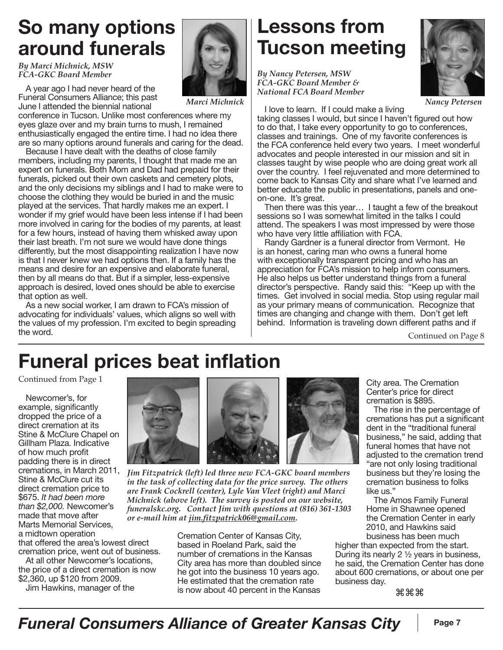## **So many options around funerals**

*By Marci Michnick, MSW FCA-GKC Board Member*

A year ago I had never heard of the Funeral Consumers Alliance; this past June I attended the biennial national

conference in Tucson. Unlike most conferences where my eyes glaze over and my brain turns to mush, I remained enthusiastically engaged the entire time. I had no idea there are so many options around funerals and caring for the dead.

Because I have dealt with the deaths of close family members, including my parents, I thought that made me an expert on funerals. Both Mom and Dad had prepaid for their funerals, picked out their own caskets and cemetery plots, and the only decisions my siblings and I had to make were to choose the clothing they would be buried in and the music played at the services. That hardly makes me an expert. I wonder if my grief would have been less intense if I had been more involved in caring for the bodies of my parents, at least for a few hours, instead of having them whisked away upon their last breath. I'm not sure we would have done things differently, but the most disappointing realization I have now is that I never knew we had options then. If a family has the means and desire for an expensive and elaborate funeral, then by all means do that. But if a simpler, less-expensive approach is desired, loved ones should be able to exercise that option as well.

As a new social worker, I am drawn to FCA's mission of advocating for individuals' values, which aligns so well with the values of my profession. I'm excited to begin spreading the word.

## **Lessons from Tucson meeting**

*By Nancy Petersen, MSW FCA-GKC Board Member & National FCA Board Member*

*Nancy Petersen*

I love to learn. If I could make a living

taking classes I would, but since I haven't figured out how to do that, I take every opportunity to go to conferences, classes and trainings. One of my favorite conferences is the FCA conference held every two years. I meet wonderful advocates and people interested in our mission and sit in classes taught by wise people who are doing great work all over the country. I feel rejuvenated and more determined to come back to Kansas City and share what I've learned and better educate the public in presentations, panels and oneon-one. It's great.

Then there was this year… I taught a few of the breakout sessions so I was somewhat limited in the talks I could attend. The speakers I was most impressed by were those who have very little affiliation with FCA.

Randy Gardner is a funeral director from Vermont. He is an honest, caring man who owns a funeral home with exceptionally transparent pricing and who has an appreciation for FCA's mission to help inform consumers. He also helps us better understand things from a funeral director's perspective. Randy said this: "Keep up with the times. Get involved in social media. Stop using regular mail as your primary means of communication. Recognize that times are changing and change with them. Don't get left behind. Information is traveling down different paths and if

Continued on Page 8

# **Funeral prices beat inflation**

Continued from Page 1

Newcomer's, for example, significantly dropped the price of a direct cremation at its Stine & McClure Chapel on Gillham Plaza. Indicative of how much profit padding there is in direct cremations, in March 2011, Stine & McClure cut its direct cremation price to \$675. *It had been more than \$2,000.* Newcomer's made that move after Marts Memorial Services, a midtown operation

that offered the area's lowest direct cremation price, went out of business.

At all other Newcomer's locations, the price of a direct cremation is now \$2,360, up \$120 from 2009.

Jim Hawkins, manager of the



*Marci Michnick*

*Jim Fitzpatrick (left) led three new FCA-GKC board members in the task of collecting data for the price survey. The others are Frank Cockrell (center), Lyle Van Vleet (right) and Marci Michnick (above left). The survey is posted on our website, funeralskc.org. Contact Jim with questions at (816) 361-1303 or e-mail him at jim.fitzpatrick06@gmail.com.*

> Cremation Center of Kansas City, based in Roeland Park, said the number of cremations in the Kansas City area has more than doubled since he got into the business 10 years ago. He estimated that the cremation rate is now about 40 percent in the Kansas

City area. The Cremation Center's price for direct cremation is \$895.

The rise in the percentage of cremations has put a significant dent in the "traditional funeral business," he said, adding that funeral homes that have not adjusted to the cremation trend "are not only losing traditional business but they're losing the cremation business to folks like us."

The Amos Family Funeral Home in Shawnee opened the Cremation Center in early 2010, and Hawkins said business has been much

higher than expected from the start. During its nearly 2 ½ years in business, he said, the Cremation Center has done about 600 cremations, or about one per business day.

⌘⌘⌘

### *Funeral Consumers Alliance of Greater Kansas City* | Page 7